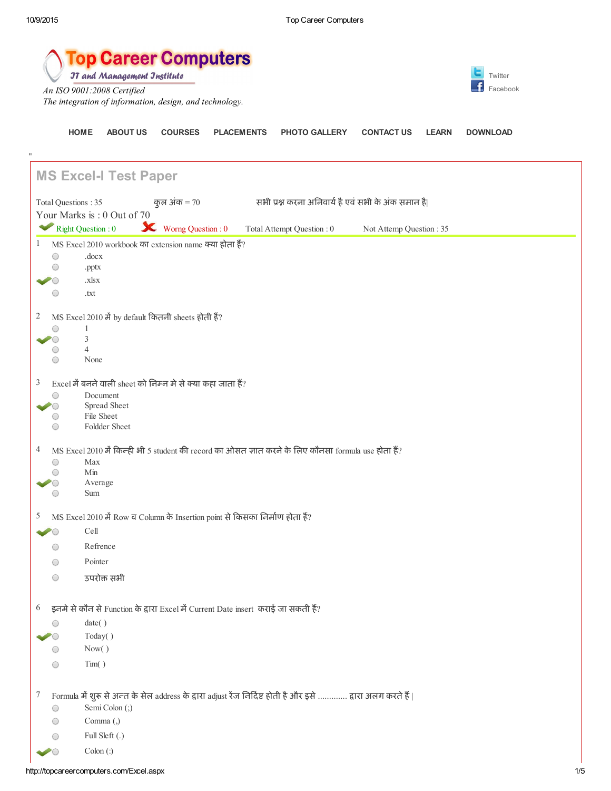"

[HOME](http://topcareercomputers.com/Default.aspx) [ABOUT](http://topcareercomputers.com/AboutUs.aspx) US [COURSES](http://topcareercomputers.com/course.aspx) [PLACEMENTS](http://topcareercomputers.com/placement.aspx) PHOTO [GALLERY](http://topcareercomputers.com/gallary.aspx) [CONTACT](http://topcareercomputers.com/contect1.aspx) US [LEARN](http://topcareercomputers.com/learn.aspx) [DOWNLOAD](http://topcareercomputers.com/Downloads.aspx)

**op Career Computers JT and Management Jnstitute** 

*An ISO 9001:2008 Certified The integration of information, design, and technology.*



MS Excel-I Test Paper Total Questions : 35  $q\bar{q}$  ,  $q\bar{q}$  ,  $\bar{q}$  ,  $\bar{q}$  ,  $\bar{q}$  ,  $\bar{q}$  ,  $\bar{q}$  ,  $\bar{q}$  ,  $\bar{q}$  ,  $\bar{q}$  ,  $\bar{q}$  ,  $\bar{q}$  ,  $\bar{q}$  ,  $\bar{q}$  ,  $\bar{q}$  ,  $\bar{q}$  ,  $\bar{q}$  ,  $\bar{q}$  ,  $\bar{q}$  ,  $\bar{q}$ Your Marks is : 0 Out of 70 Right Question : 0 Worng Question : 0 Total Attempt Question : 0 Not Attemp Question : 35 1 MS Excel 2010 workbook का extension name क्या होता हैं?  $\bigcirc$ .docx  $\bigcirc$ .pptx .xlsx  $\overline{\circ}$  $\bigcirc$ .txt  $2$  MS Excel 2010 में by default कितनी sheets होती हैं?  $\bigcirc$ 1 3  $\overline{\circ}$  $\bigcirc$ 4  $\bigcirc$ None  $3$  Excel में बनने वाली sheet को निम्न मे से क्या कहा जाता हैं?  $\bigcirc$ Document  $\overline{\bigcirc}$ Spread Sheet  $\bigcirc$ File Sheet  $\bigcap$ Foldder Sheet  $4$  MS Excel 2010 में किन्ही भी 5 student की record का ओसत ज्ञात करने के लिए कौनसा formula use होता हैं? Max  $\bigcap$  $\bigcirc$ Min Average  $\bigcirc$  $\bigcap$ Sum  $5$  MS Excel 2010 में Row व Column के Insertion point से किसका निर्माण होता हैं? Cell Refrence  $\bigcirc$  $\bigcirc$ Pointer उपरोक्त सभी  $\bigcap$ 

 $6$  इनमे से कौन से Function के द्वारा Excel में Current Date insert कराई जा सकती हैं?

|  |    | date()                                                                                                      |
|--|----|-------------------------------------------------------------------------------------------------------------|
|  |    | Today()                                                                                                     |
|  |    | Now()                                                                                                       |
|  | С. | Tim()                                                                                                       |
|  |    |                                                                                                             |
|  |    | Formula में शुरू से अन्त के सेल address के द्वारा adjust रेंज निर्दिष्ट होती है और इसे  द्वारा अलग करते हैं |
|  |    | Semi Colon (;)                                                                                              |
|  |    | Comma $($ , $)$                                                                                             |

- Full Sleft (.)  $\bigcirc$
- Colon (:) $\subset$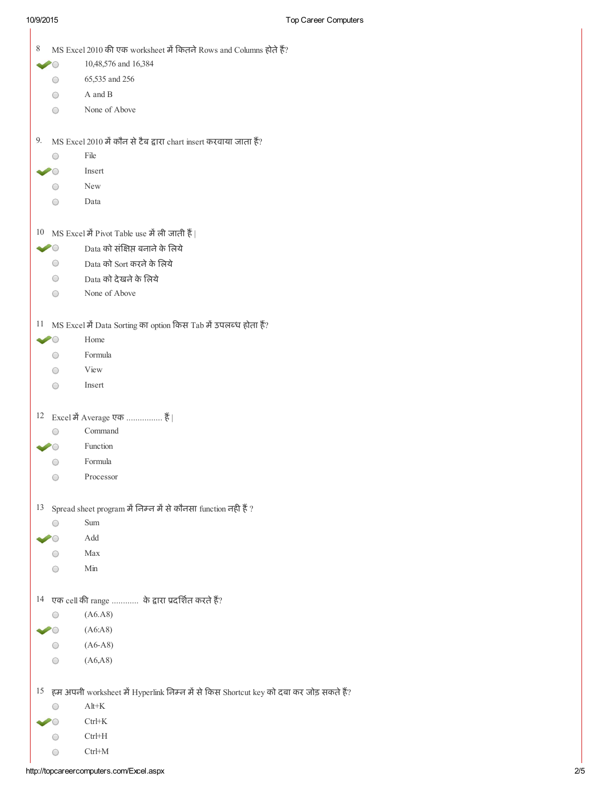$\overline{\phantom{a}}$ 

| 8                 | MS Excel 2010 की एक worksheet में कितने Rows and Columns होते हैं?<br>10,48,576 and 16,384 |
|-------------------|--------------------------------------------------------------------------------------------|
|                   | 65,535 and 256                                                                             |
| O<br>0            | A and B                                                                                    |
|                   | None of Above                                                                              |
| O                 |                                                                                            |
| 9.                | MS Excel 2010 में कौन से टैब द्वारा chart insert करवाया जाता हैं?                          |
| $^{\rm ()}$       | File                                                                                       |
|                   | Insert                                                                                     |
| O                 | New                                                                                        |
| $\bigcirc$        | Data                                                                                       |
| 10                | MS Excel में Pivot Table use में ली जाती हैं                                               |
| $\sim$ 0          | Data को संक्षिप्त बनाने के लिये                                                            |
| $\bigcirc$        | Data को Sort करने के लिये                                                                  |
| $\bigcirc$        | Data को देखने के लिये                                                                      |
| O                 | None of Above                                                                              |
| 11                | MS Excel में Data Sorting का option किस Tab में उपलब्ध होता हैं?                           |
| $\bullet$ $\circ$ | Home                                                                                       |
| O                 | Formula                                                                                    |
| O                 | View                                                                                       |
| $\bigcirc$        | Insert                                                                                     |
|                   | 12 Excel में Average एक  हैं                                                               |
| $\bigcirc$        | Command                                                                                    |
|                   | Function                                                                                   |
| $^{\rm ()}$       | Formula                                                                                    |
| $($ )             | Processor                                                                                  |
| 13                | Spread sheet program में निम्न में से कौनसा function नही हैं ?                             |
| O                 | Sum                                                                                        |
|                   | Add                                                                                        |
| O                 | Max                                                                                        |
|                   | Min                                                                                        |
|                   | 14 एक cell की range  के द्वारा प्रदर्शित करते हैं?                                         |
|                   | (A6.A8)                                                                                    |
|                   | (A6:AB)                                                                                    |
|                   | $(A6-A8)$                                                                                  |
|                   | (A6, A8)                                                                                   |
|                   | 15 हम अपनी worksheet में Hyperlink निम्न में से किस Shortcut key को दबा कर जोड़ सकते हैं?  |
| O                 | $Alt+K$                                                                                    |
|                   | CtrH K                                                                                     |
|                   | CtrHH                                                                                      |
|                   | $Ctrl+M$                                                                                   |
| 0                 |                                                                                            |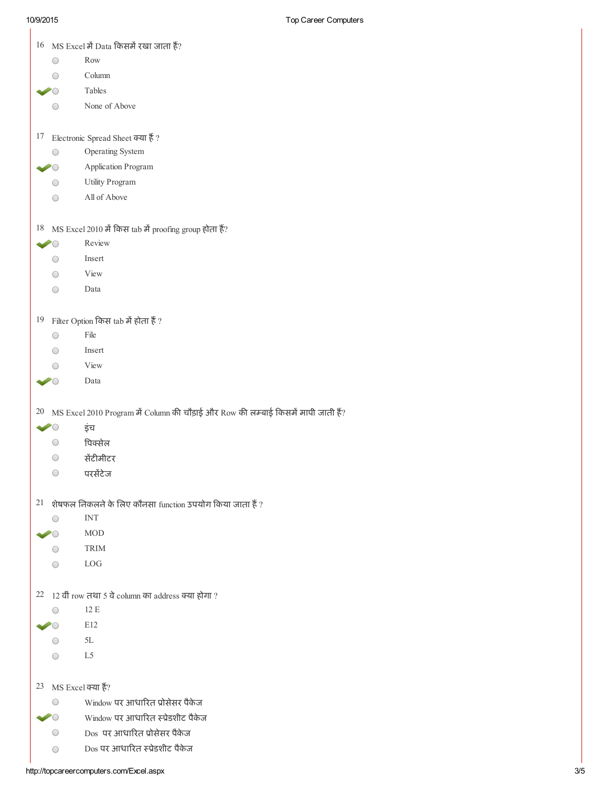$\overline{\phantom{a}}$ 

|                                 | $16$ MS Excel में Data किसमें रखा जाता हैं?                                       |
|---------------------------------|-----------------------------------------------------------------------------------|
| ○                               | Row                                                                               |
|                                 | Column                                                                            |
|                                 | Tables                                                                            |
|                                 | None of Above                                                                     |
|                                 |                                                                                   |
| 17                              | Electronic Spread Sheet क्या हैं ?                                                |
| $\scriptstyle\bigcirc$          | Operating System                                                                  |
|                                 | Application Program                                                               |
| $\left(\begin{array}{c}\right)$ | Utility Program                                                                   |
| ◯                               | All of Above                                                                      |
|                                 |                                                                                   |
|                                 | <sup>18</sup> MS Excel 2010 में किस tab में proofing group होता हैं?              |
| $\dot{ }$ $\dot{ }$             | Review                                                                            |
| ○                               | Insert                                                                            |
| ◯                               | View                                                                              |
| ○                               | Data                                                                              |
|                                 |                                                                                   |
| 19                              | Filter Option किस tab में होता हैं ?                                              |
| ○                               | File                                                                              |
| $\bigcirc$                      | Insert                                                                            |
|                                 | View                                                                              |
|                                 | Data                                                                              |
|                                 |                                                                                   |
| 20                              | MS Excel 2010 Program में Column की चौड़ाई और Row की लम्बाई किसमें मापी जाती हैं? |
|                                 | इंच                                                                               |
| O                               | पिक्सेल                                                                           |
|                                 | सेंटीमीटर                                                                         |
| O                               | परसेंटेज                                                                          |
|                                 |                                                                                   |
|                                 | $21$ शेषफल निकलने के लिए कौनसा function उपयोग किया जाता हैं ?                     |
| $\bigcirc$                      | <b>INT</b>                                                                        |
|                                 | <b>MOD</b>                                                                        |
|                                 | <b>TRIM</b>                                                                       |
|                                 | LOG                                                                               |
|                                 |                                                                                   |
| O                               | 22 12 वीं row तथा 5 वे column का address क्या होगा ?<br>12 E                      |
|                                 | E12                                                                               |
|                                 | 5L                                                                                |
| ◯                               | L <sub>5</sub>                                                                    |
|                                 |                                                                                   |
|                                 |                                                                                   |
|                                 |                                                                                   |
| 23                              | MS Excel क्या हैं?                                                                |
| O                               | Window पर आधारित प्रोसेसर पैकेज                                                   |
|                                 | Window पर आधारित स्प्रेडशीट पैकेज                                                 |
| O<br>$\bigcirc$                 | Dos पर आधारित प्रोसेसर पैकेज<br>Dos पर आधारित स्प्रेडशीट पैकेज                    |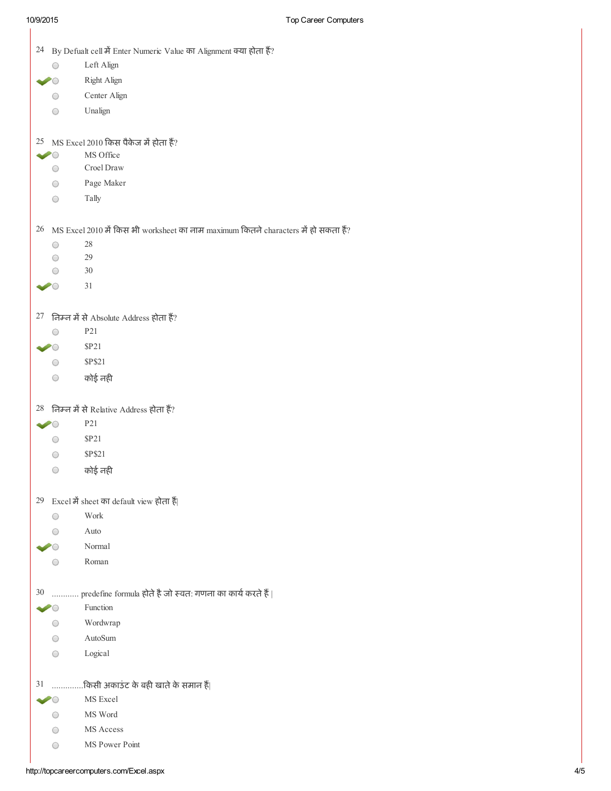1

|    |                | 24 By Defualt cell में Enter Numeric Value का Alignment क्या होता हैं?                   |
|----|----------------|------------------------------------------------------------------------------------------|
|    |                | Left Align                                                                               |
|    |                | <b>Right Align</b>                                                                       |
|    | O              | Center Align                                                                             |
|    | O              | Unalign                                                                                  |
|    |                |                                                                                          |
|    |                | $25$ MS Excel 2010 किस पैकेज में होता हैं?                                               |
|    |                | MS Office                                                                                |
|    | O              | Croel Draw                                                                               |
|    | $\bigcirc$     | Page Maker                                                                               |
|    | $\bigcirc$     | Tally                                                                                    |
|    |                | $26$ MS Excel 2010 में किस भी worksheet का नाम maximum कितने characters में हो सकता हैं? |
|    | O              | 28                                                                                       |
|    | ○              | 29                                                                                       |
|    |                | 30                                                                                       |
|    |                | 31                                                                                       |
|    |                | 27 निम्न में से Absolute Address होता हैं?                                               |
|    |                | P21                                                                                      |
|    |                | \$P21                                                                                    |
|    | $\bigcirc$     | <b>\$P\$21</b>                                                                           |
|    | $\bigcirc$     | कोई नही                                                                                  |
|    |                |                                                                                          |
|    |                | $28$ निम्न में से Relative Address होता हैं?<br>P21                                      |
|    | $\geq$ $\circ$ |                                                                                          |
|    | O              | <b>\$P21</b>                                                                             |
|    | $\bigcirc$     | <b>\$P\$21</b>                                                                           |
|    | O              | कोई नही                                                                                  |
|    |                | 29 Excel में sheet का default view होता हैं                                              |
|    | O              | Work                                                                                     |
|    |                | Auto                                                                                     |
|    |                | Normal                                                                                   |
|    |                | Roman                                                                                    |
| 30 |                | predefine formula होते है जो स्वत: गणना का कार्य करते हैं                                |
|    |                | Function                                                                                 |
|    |                | Wordwrap                                                                                 |
|    |                | AutoSum                                                                                  |
|    | $\bigcirc$     | Logical                                                                                  |
| 31 |                | किसी अकाउंट के बही खाते के समान हैं                                                      |
|    |                | MS Excel                                                                                 |
|    |                | MS Word                                                                                  |
|    |                | MS Access                                                                                |
|    | $\bigcirc$     | MS Power Point                                                                           |
|    |                |                                                                                          |

http://topcareercomputers.com/Excel.aspx 4/5